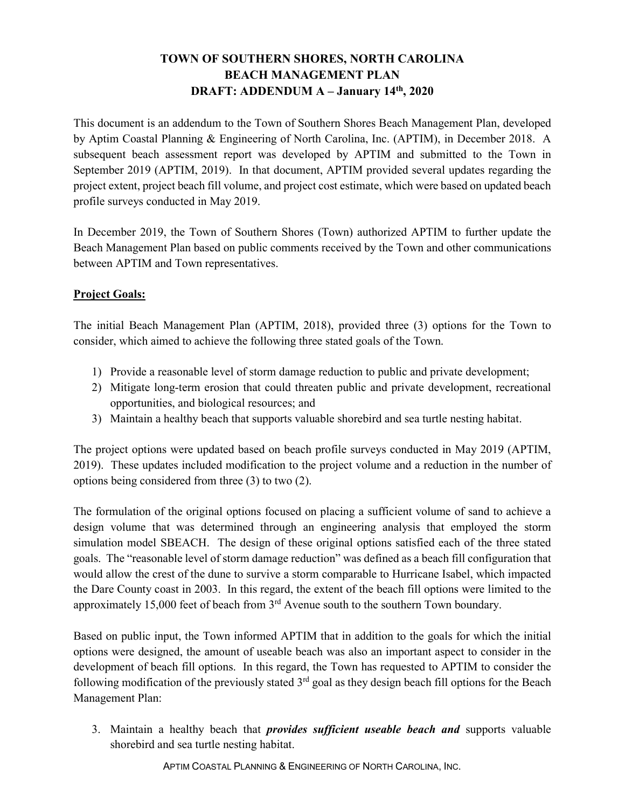# **TOWN OF SOUTHERN SHORES, NORTH CAROLINA BEACH MANAGEMENT PLAN DRAFT: ADDENDUM A – January 14th, 2020**

This document is an addendum to the Town of Southern Shores Beach Management Plan, developed by Aptim Coastal Planning & Engineering of North Carolina, Inc. (APTIM), in December 2018. A subsequent beach assessment report was developed by APTIM and submitted to the Town in September 2019 (APTIM, 2019). In that document, APTIM provided several updates regarding the project extent, project beach fill volume, and project cost estimate, which were based on updated beach profile surveys conducted in May 2019.

In December 2019, the Town of Southern Shores (Town) authorized APTIM to further update the Beach Management Plan based on public comments received by the Town and other communications between APTIM and Town representatives.

## **Project Goals:**

The initial Beach Management Plan (APTIM, 2018), provided three (3) options for the Town to consider, which aimed to achieve the following three stated goals of the Town.

- 1) Provide a reasonable level of storm damage reduction to public and private development;
- 2) Mitigate long-term erosion that could threaten public and private development, recreational opportunities, and biological resources; and
- 3) Maintain a healthy beach that supports valuable shorebird and sea turtle nesting habitat.

The project options were updated based on beach profile surveys conducted in May 2019 (APTIM, 2019). These updates included modification to the project volume and a reduction in the number of options being considered from three (3) to two (2).

The formulation of the original options focused on placing a sufficient volume of sand to achieve a design volume that was determined through an engineering analysis that employed the storm simulation model SBEACH. The design of these original options satisfied each of the three stated goals. The "reasonable level of storm damage reduction" was defined as a beach fill configuration that would allow the crest of the dune to survive a storm comparable to Hurricane Isabel, which impacted the Dare County coast in 2003. In this regard, the extent of the beach fill options were limited to the approximately 15,000 feet of beach from  $3<sup>rd</sup>$  Avenue south to the southern Town boundary.

Based on public input, the Town informed APTIM that in addition to the goals for which the initial options were designed, the amount of useable beach was also an important aspect to consider in the development of beach fill options. In this regard, the Town has requested to APTIM to consider the following modification of the previously stated  $3<sup>rd</sup>$  goal as they design beach fill options for the Beach Management Plan:

3. Maintain a healthy beach that *provides sufficient useable beach and* supports valuable shorebird and sea turtle nesting habitat.

APTIM COASTAL PLANNING & ENGINEERING OF NORTH CAROLINA, INC.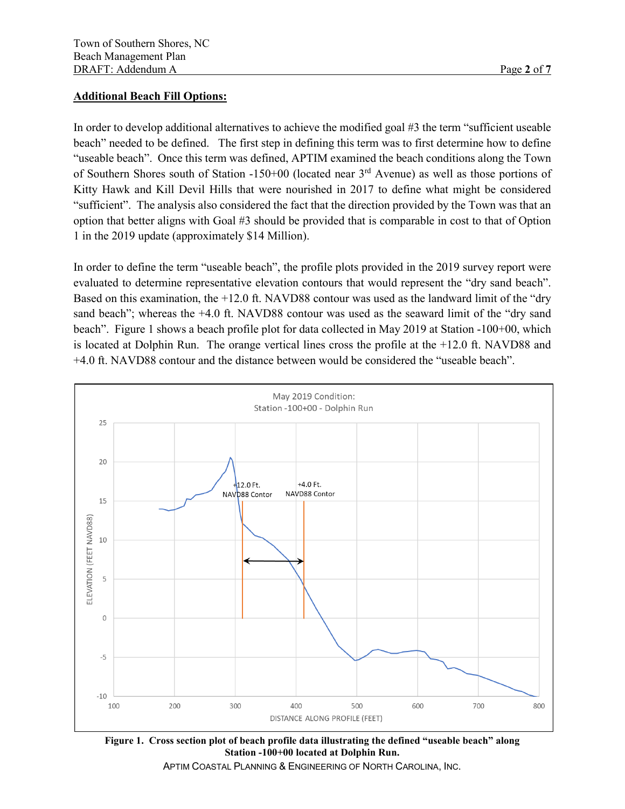### **Additional Beach Fill Options:**

In order to develop additional alternatives to achieve the modified goal #3 the term "sufficient useable beach" needed to be defined. The first step in defining this term was to first determine how to define "useable beach". Once this term was defined, APTIM examined the beach conditions along the Town of Southern Shores south of Station -150+00 (located near 3rd Avenue) as well as those portions of Kitty Hawk and Kill Devil Hills that were nourished in 2017 to define what might be considered "sufficient". The analysis also considered the fact that the direction provided by the Town was that an option that better aligns with Goal #3 should be provided that is comparable in cost to that of Option 1 in the 2019 update (approximately \$14 Million).

In order to define the term "useable beach", the profile plots provided in the 2019 survey report were evaluated to determine representative elevation contours that would represent the "dry sand beach". Based on this examination, the +12.0 ft. NAVD88 contour was used as the landward limit of the "dry sand beach"; whereas the +4.0 ft. NAVD88 contour was used as the seaward limit of the "dry sand beach". [Figure 1](#page-1-0) shows a beach profile plot for data collected in May 2019 at Station -100+00, which is located at Dolphin Run. The orange vertical lines cross the profile at the +12.0 ft. NAVD88 and +4.0 ft. NAVD88 contour and the distance between would be considered the "useable beach".



<span id="page-1-0"></span>**Figure 1. Cross section plot of beach profile data illustrating the defined "useable beach" along Station -100+00 located at Dolphin Run.** 

APTIM COASTAL PLANNING & ENGINEERING OF NORTH CAROLINA, INC.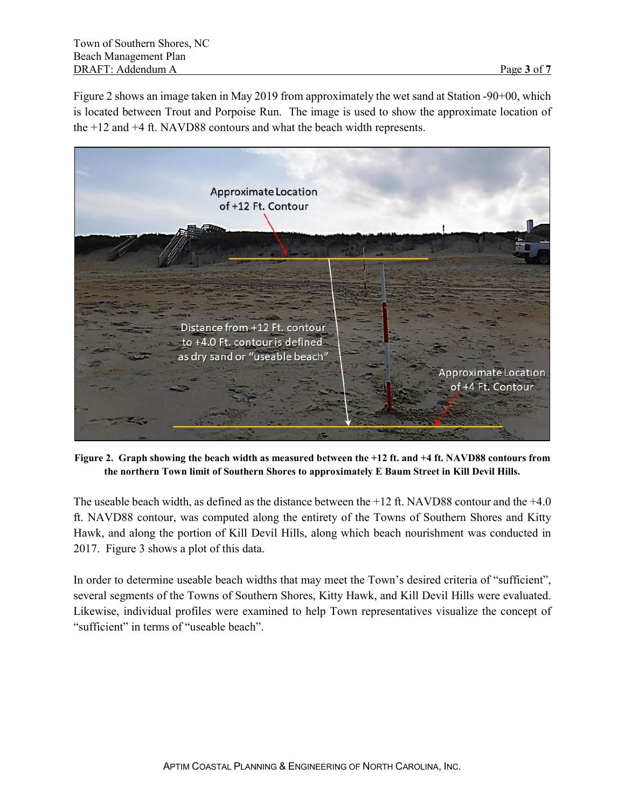[Figure 2](#page-2-0) shows an image taken in May 2019 from approximately the wet sand at Station -90+00, which is located between Trout and Porpoise Run. The image is used to show the approximate location of the +12 and +4 ft. NAVD88 contours and what the beach width represents.



**Figure 2. Graph showing the beach width as measured between the +12 ft. and +4 ft. NAVD88 contours from the northern Town limit of Southern Shores to approximately E Baum Street in Kill Devil Hills.**

<span id="page-2-0"></span>The useable beach width, as defined as the distance between the +12 ft. NAVD88 contour and the +4.0 ft. NAVD88 contour, was computed along the entirety of the Towns of Southern Shores and Kitty Hawk, and along the portion of Kill Devil Hills, along which beach nourishment was conducted in 2017. [Figure 3](#page-3-0) shows a plot of this data.

In order to determine useable beach widths that may meet the Town's desired criteria of "sufficient", several segments of the Towns of Southern Shores, Kitty Hawk, and Kill Devil Hills were evaluated. Likewise, individual profiles were examined to help Town representatives visualize the concept of "sufficient" in terms of "useable beach".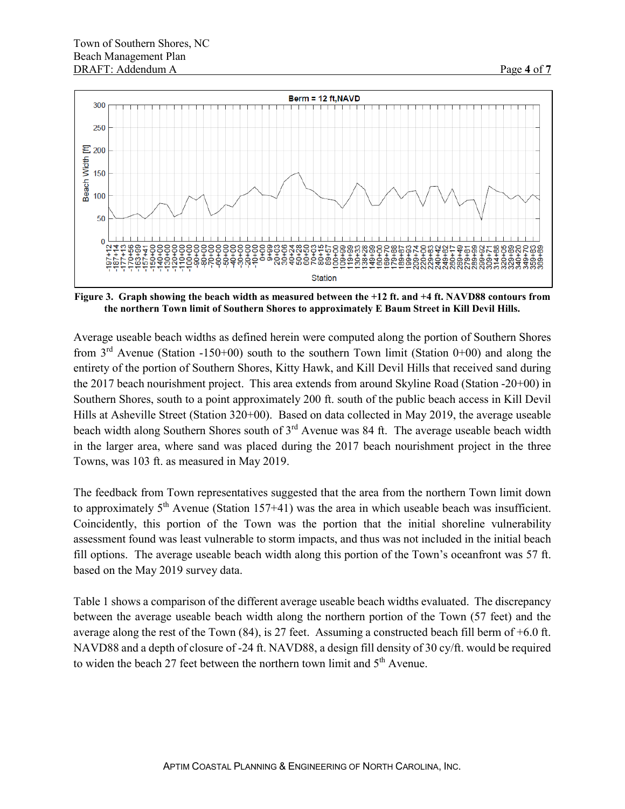

<span id="page-3-0"></span>**Figure 3. Graph showing the beach width as measured between the +12 ft. and +4 ft. NAVD88 contours from the northern Town limit of Southern Shores to approximately E Baum Street in Kill Devil Hills.**

Average useable beach widths as defined herein were computed along the portion of Southern Shores from  $3<sup>rd</sup>$  Avenue (Station -150+00) south to the southern Town limit (Station 0+00) and along the entirety of the portion of Southern Shores, Kitty Hawk, and Kill Devil Hills that received sand during the 2017 beach nourishment project. This area extends from around Skyline Road (Station -20+00) in Southern Shores, south to a point approximately 200 ft. south of the public beach access in Kill Devil Hills at Asheville Street (Station 320+00). Based on data collected in May 2019, the average useable beach width along Southern Shores south of  $3<sup>rd</sup>$  Avenue was 84 ft. The average useable beach width in the larger area, where sand was placed during the 2017 beach nourishment project in the three Towns, was 103 ft. as measured in May 2019.

The feedback from Town representatives suggested that the area from the northern Town limit down to approximately  $5<sup>th</sup>$  Avenue (Station 157+41) was the area in which useable beach was insufficient. Coincidently, this portion of the Town was the portion that the initial shoreline vulnerability assessment found was least vulnerable to storm impacts, and thus was not included in the initial beach fill options. The average useable beach width along this portion of the Town's oceanfront was 57 ft. based on the May 2019 survey data.

[Table 1](#page-4-0) shows a comparison of the different average useable beach widths evaluated. The discrepancy between the average useable beach width along the northern portion of the Town (57 feet) and the average along the rest of the Town (84), is 27 feet. Assuming a constructed beach fill berm of +6.0 ft. NAVD88 and a depth of closure of -24 ft. NAVD88, a design fill density of 30 cy/ft. would be required to widen the beach 27 feet between the northern town limit and  $5<sup>th</sup>$  Avenue.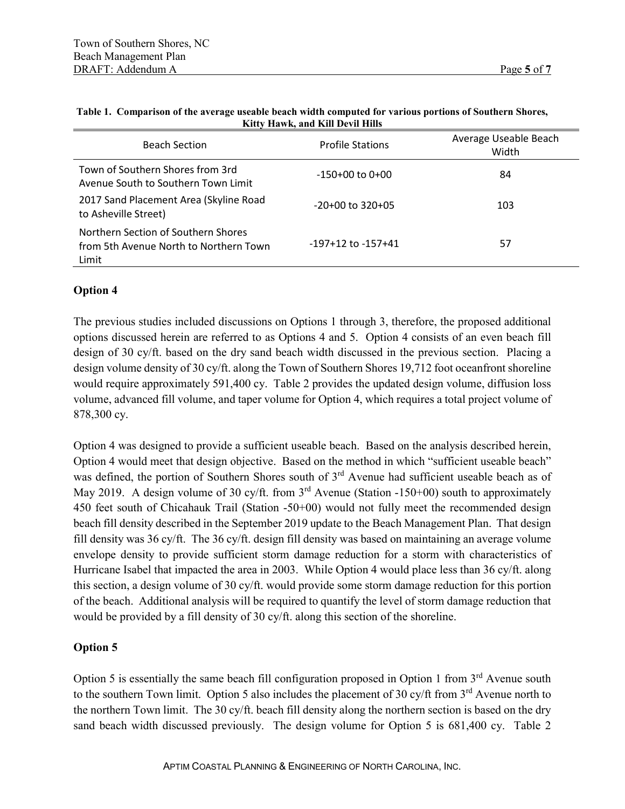| <b>Beach Section</b>                                                                   | <b>Profile Stations</b> | Average Useable Beach<br>Width |
|----------------------------------------------------------------------------------------|-------------------------|--------------------------------|
| Town of Southern Shores from 3rd<br>Avenue South to Southern Town Limit                | $-150+00$ to $0+00$     | 84                             |
| 2017 Sand Placement Area (Skyline Road<br>to Asheville Street)                         | $-20+00$ to 320+05      | 103                            |
| Northern Section of Southern Shores<br>from 5th Avenue North to Northern Town<br>Limit | $-197+12$ to $-157+41$  | 57                             |

#### <span id="page-4-0"></span>**Table 1. Comparison of the average useable beach width computed for various portions of Southern Shores, Kitty Hawk, and Kill Devil Hills**

### **Option 4**

The previous studies included discussions on Options 1 through 3, therefore, the proposed additional options discussed herein are referred to as Options 4 and 5. Option 4 consists of an even beach fill design of 30 cy/ft. based on the dry sand beach width discussed in the previous section. Placing a design volume density of 30 cy/ft. along the Town of Southern Shores 19,712 foot oceanfront shoreline would require approximately 591,400 cy. [Table 2](#page-5-0) provides the updated design volume, diffusion loss volume, advanced fill volume, and taper volume for Option 4, which requires a total project volume of 878,300 cy.

Option 4 was designed to provide a sufficient useable beach. Based on the analysis described herein, Option 4 would meet that design objective. Based on the method in which "sufficient useable beach" was defined, the portion of Southern Shores south of 3<sup>rd</sup> Avenue had sufficient useable beach as of May 2019. A design volume of 30 cy/ft. from  $3<sup>rd</sup>$  Avenue (Station -150+00) south to approximately 450 feet south of Chicahauk Trail (Station -50+00) would not fully meet the recommended design beach fill density described in the September 2019 update to the Beach Management Plan. That design fill density was 36 cy/ft. The 36 cy/ft. design fill density was based on maintaining an average volume envelope density to provide sufficient storm damage reduction for a storm with characteristics of Hurricane Isabel that impacted the area in 2003. While Option 4 would place less than 36 cy/ft. along this section, a design volume of 30 cy/ft. would provide some storm damage reduction for this portion of the beach. Additional analysis will be required to quantify the level of storm damage reduction that would be provided by a fill density of 30 cy/ft. along this section of the shoreline.

### **Option 5**

Option 5 is essentially the same beach fill configuration proposed in Option 1 from 3<sup>rd</sup> Avenue south to the southern Town limit. Option 5 also includes the placement of 30 cy/ft from 3<sup>rd</sup> Avenue north to the northern Town limit. The 30 cy/ft. beach fill density along the northern section is based on the dry sand beach width discussed previously. The design volume for Option 5 is 681,400 cy. [Table 2](#page-5-0)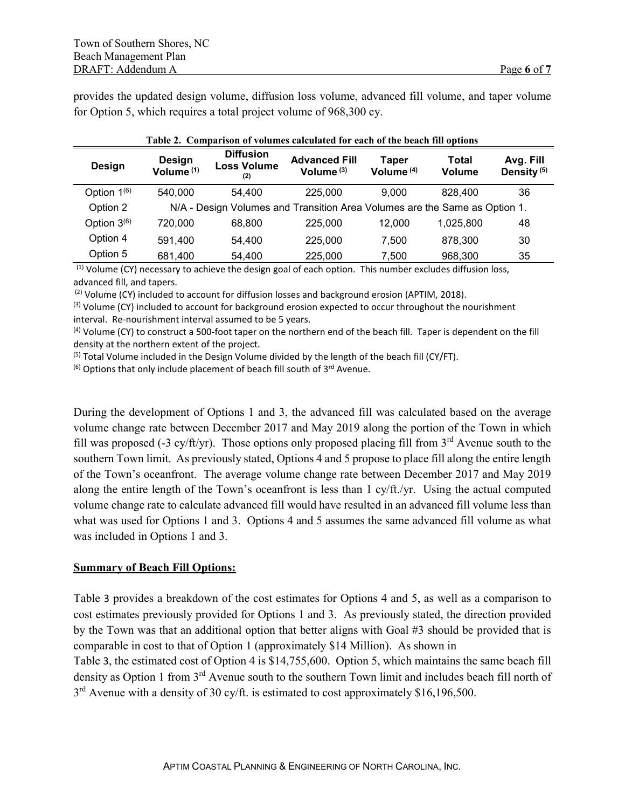provides the updated design volume, diffusion loss volume, advanced fill volume, and taper volume for Option 5, which requires a total project volume of 968,300 cy.

<span id="page-5-0"></span>

| Table 2. Comparison of volumes calculated for each of the beach fill options |                                 |                                               |                                                                            |                       |                        |                                     |  |  |
|------------------------------------------------------------------------------|---------------------------------|-----------------------------------------------|----------------------------------------------------------------------------|-----------------------|------------------------|-------------------------------------|--|--|
| Design                                                                       | Design<br>Volume <sup>(1)</sup> | <b>Diffusion</b><br><b>Loss Volume</b><br>(2) | <b>Advanced Fill</b><br>Volume $(3)$                                       | Taper<br>Volume $(4)$ | Total<br><b>Volume</b> | Avg. Fill<br>Density <sup>(5)</sup> |  |  |
| Option $1^{(6)}$                                                             | 540.000                         | 54.400                                        | 225,000                                                                    | 9.000                 | 828,400                | 36                                  |  |  |
| Option 2                                                                     |                                 |                                               | N/A - Design Volumes and Transition Area Volumes are the Same as Option 1. |                       |                        |                                     |  |  |
| Option $3(6)$                                                                | 720.000                         | 68,800                                        | 225,000                                                                    | 12.000                | 1,025,800              | 48                                  |  |  |
| Option 4                                                                     | 591.400                         | 54.400                                        | 225,000                                                                    | 7.500                 | 878.300                | 30                                  |  |  |
| Option 5                                                                     | 681,400                         | 54,400                                        | 225,000                                                                    | 7.500                 | 968,300                | 35                                  |  |  |

(1) Volume (CY) necessary to achieve the design goal of each option. This number excludes diffusion loss, advanced fill, and tapers.

<sup>(2)</sup> Volume (CY) included to account for diffusion losses and background erosion (APTIM, 2018).<br><sup>(3)</sup> Volume (CY) included to account for background erosion expected to occur throughout the nourishment interval. Re-nourishment interval assumed to be 5 years.

(4) Volume (CY) to construct a 500-foot taper on the northern end of the beach fill. Taper is dependent on the fill density at the northern extent of the project.

 $<sup>(5)</sup>$  Total Volume included in the Design Volume divided by the length of the beach fill (CY/FT).</sup>

 $^{(6)}$  Options that only include placement of beach fill south of 3 $^{rd}$  Avenue.

During the development of Options 1 and 3, the advanced fill was calculated based on the average volume change rate between December 2017 and May 2019 along the portion of the Town in which fill was proposed (-3 cy/ft/yr). Those options only proposed placing fill from  $3<sup>rd</sup>$  Avenue south to the southern Town limit. As previously stated, Options 4 and 5 propose to place fill along the entire length of the Town's oceanfront. The average volume change rate between December 2017 and May 2019 along the entire length of the Town's oceanfront is less than 1 cy/ft./yr. Using the actual computed volume change rate to calculate advanced fill would have resulted in an advanced fill volume less than what was used for Options 1 and 3. Options 4 and 5 assumes the same advanced fill volume as what was included in Options 1 and 3.

### **Summary of Beach Fill Options:**

[Table](#page-5-1) 3 provides a breakdown of the cost estimates for Options 4 and 5, as well as a comparison to cost estimates previously provided for Options 1 and 3. As previously stated, the direction provided by the Town was that an additional option that better aligns with Goal #3 should be provided that is comparable in cost to that of Option 1 (approximately \$14 Million). As shown in

<span id="page-5-1"></span>[Table](#page-5-1) 3, the estimated cost of Option 4 is \$14,755,600. Option 5, which maintains the same beach fill density as Option 1 from 3<sup>rd</sup> Avenue south to the southern Town limit and includes beach fill north of  $3<sup>rd</sup>$  Avenue with a density of 30 cy/ft. is estimated to cost approximately \$16,196,500.